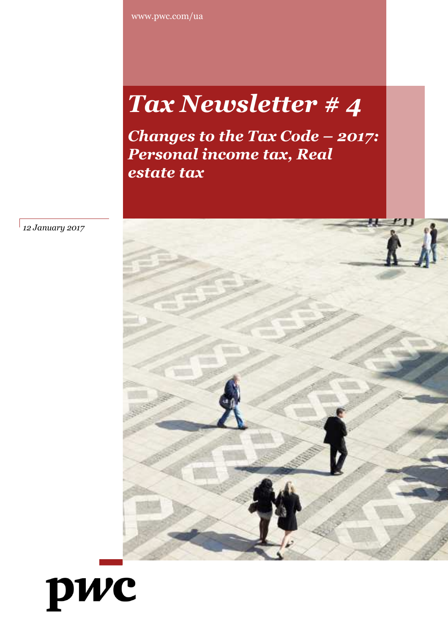www.pwc.com/ua

# *Tax Newsletter # 4*

*Changes to the Tax Code – 2017: Personal income tax, Real estate tax*



*12 January 2017*

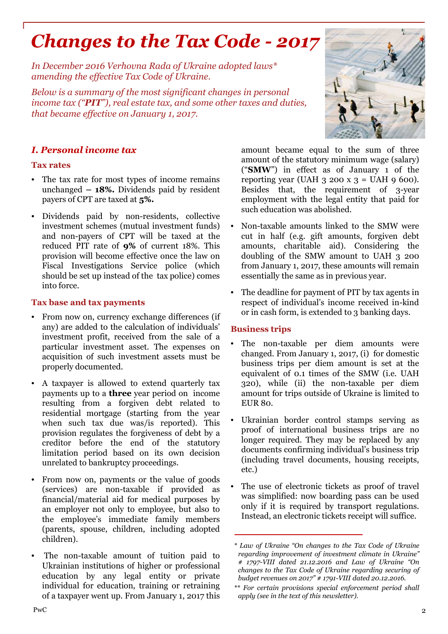# *Changes to the Tax Code - 2017*

*In December 2016 Verhovna Rada of Ukraine adopted laws\* amending the effective Tax Code of Ukraine.*

*Below is a summary of the most significant changes in personal income tax ("PIT"), real estate tax, and some other taxes and duties, that became effective on January 1, 2017.*

# *I. Personal income tax*

## **Tax rates**

- The tax rate for most types of income remains unchanged **– 18%.** Dividends paid by resident payers of CPT are taxed at **5%.**
- Dividends paid by non-residents, collective investment schemes (mutual investment funds) and non-payers of CPT will be taxed at the reduced PIT rate of **9%** of current 18%. This provision will become effective once the law on Fiscal Investigations Service police (which should be set up instead of the tax police) comes into force.

## **Tax base and tax payments**

- From now on, currency exchange differences (if any) are added to the calculation of individuals' investment profit, received from the sale of a particular investment asset. The expenses on acquisition of such investment assets must be properly documented.
- A taxpayer is allowed to extend quarterly tax payments up to a **three** year period on income resulting from a forgiven debt related to residential mortgage (starting from the year when such tax due was/is reported). This provision regulates the forgiveness of debt by a creditor before the end of the statutory limitation period based on its own decision unrelated to bankruptcy proceedings.
- From now on, payments or the value of goods (services) are non-taxable if provided as financial/material aid for medical purposes by an employer not only to employee, but also to the employee's immediate family members (parents, spouse, children, including adopted children).
- The non-taxable amount of tuition paid to Ukrainian institutions of higher or professional education by any legal entity or private individual for education, training or retraining of a taxpayer went up. From January 1, 2017 this

amount became equal to the sum of three amount of the statutory minimum wage (salary) ("**SMW**") in effect as of January 1 of the reporting year (UAH  $3 \times 200 \times 3 =$  UAH  $9 \times 600$ ). Besides that, the requirement of 3-year employment with the legal entity that paid for such education was abolished.

- Non-taxable amounts linked to the SMW were cut in half (e.g. gift amounts, forgiven debt amounts, charitable aid). Considering the doubling of the SMW amount to UAH 3 200 from January 1, 2017, these amounts will remain essentially the same as in previous year.
- The deadline for payment of PIT by tax agents in respect of individual's income received in-kind or in cash form, is extended to 3 banking days.

# **Business trips**

- The non-taxable per diem amounts were changed. From January 1, 2017, (i) for domestic business trips per diem amount is set at the equivalent of 0.1 times of the SMW (i.e. UAH 320), while (ii) the non-taxable per diem amount for trips outside of Ukraine is limited to EUR 80.
- Ukrainian border control stamps serving as proof of international business trips are no longer required. They may be replaced by any documents confirming individual's business trip (including travel documents, housing receipts, etc.)
- The use of electronic tickets as proof of travel was simplified: now boarding pass can be used only if it is required by transport regulations. Instead, an electronic tickets receipt will suffice.



*<sup>\*</sup> Law of Ukraine "On changes to the Tax Code of Ukraine regarding improvement of investment climate in Ukraine" # 1797-VIII dated 21.12.2016 and Law of Ukraine "On changes to the Tax Code of Ukraine regarding securing of budget revenues on 2017" # 1791-VIII dated 20.12.2016.*

*<sup>\*\*</sup> For certain provisions special enforcement period shall apply (see in the text of this newsletter).*